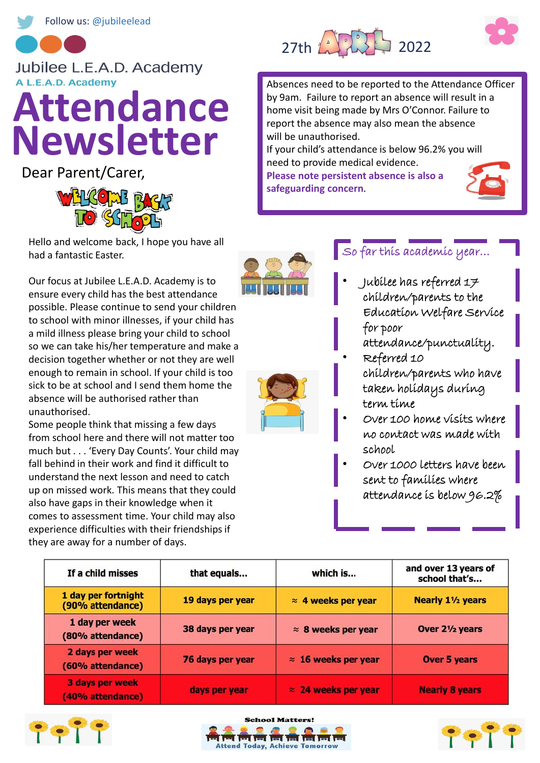

#### Jubilee L.E.A.D. Academy A L.E.A.D. Academy

# **Attendance Newsletter**

Dear Parent/Carer,



Hello and welcome back, I hope you have all had a fantastic Easter.

Our focus at Jubilee L.E.A.D. Academy is to ensure every child has the best attendance possible. Please continue to send your children to school with minor illnesses, if your child has a mild illness please bring your child to school so we can take his/her temperature and make a decision together whether or not they are well enough to remain in school. If your child is too sick to be at school and I send them home the absence will be authorised rather than unauthorised.

Some people think that missing a few days from school here and there will not matter too much but . . . 'Every Day Counts'. Your child may fall behind in their work and find it difficult to understand the next lesson and need to catch up on missed work. This means that they could also have gaps in their knowledge when it comes to assessment time. Your child may also experience difficulties with their friendships if they are away for a number of days.



Absences need to be reported to the Attendance Officer by 9am. Failure to report an absence will result in a home visit being made by Mrs O'Connor. Failure to report the absence may also mean the absence will be unauthorised.

If your child's attendance is below 96.2% you will need to provide medical evidence.

**Please note persistent absence is also a safeguarding concern**.







### So far this academic year…

- Jubilee has referred 17 children/parents to the Education Welfare Service for poor attendance/punctuality.
- Referred 10 children/parents who have taken holidays during term time
- Over 100 home visits where no contact was made with school
- Over 1000 letters have been sent to families where attendance is below 96.2%

| If a child misses                          | that equals      | which is                    | and over 13 years of<br>school that's |
|--------------------------------------------|------------------|-----------------------------|---------------------------------------|
| 1 day per fortnight<br>(90% attendance)    | 19 days per year | $\approx$ 4 weeks per year  | <b>Nearly 11/2 years</b>              |
| 1 day per week<br>(80% attendance)         | 38 days per year | $\approx$ 8 weeks per year  | Over 21/2 years                       |
| 2 days per week<br>(60% attendance)        | 76 days per year | $\approx$ 16 weeks per year | <b>Over 5 years</b>                   |
| <b>3 days per week</b><br>(40% attendance) | days per year    | $\approx$ 24 weeks per year | <b>Nearly 8 years</b>                 |

**School Matters!** 

**nd Today, Achieve Tomorrov**